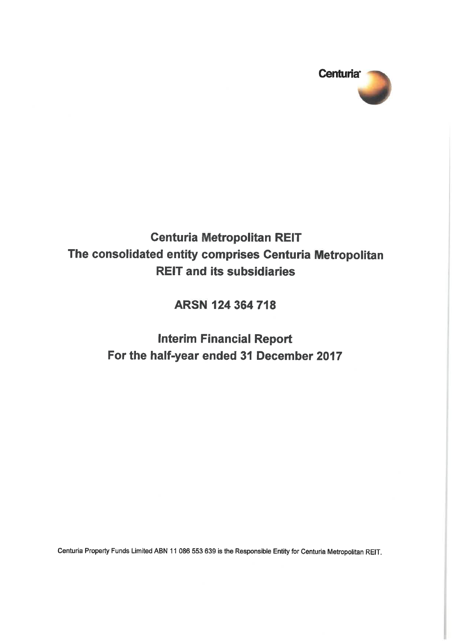

## **Centuria Metropolitan REIT** The consolidated entity comprises Centuria Metropolitan **REIT and its subsidiaries**

ARSN 124 364 718

**Interim Financial Report** For the half-year ended 31 December 2017

Centuria Property Funds Limited ABN 11 086 553 639 is the Responsible Entity for Centuria Metropolitan REIT.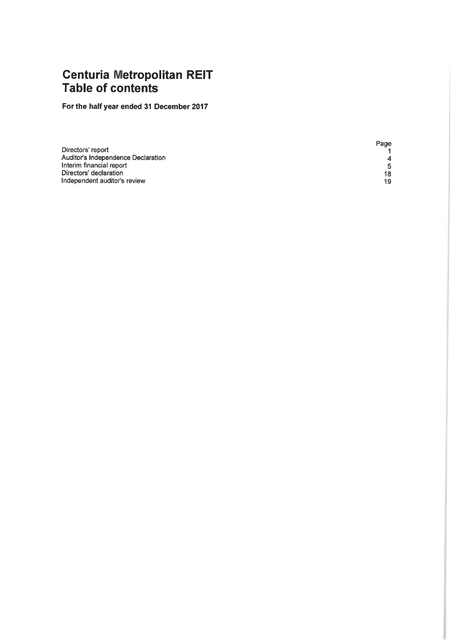## **Centuria Metropolitan REIT**<br>Table of contents

For the half year ended 31 December 2017

|                                    | Page |
|------------------------------------|------|
| Directors' report                  |      |
| Auditor's Independence Declaration | 4    |
| Interim financial report           | 5.   |
| Directors' declaration             | 18   |
| Independent auditor's review       | 19   |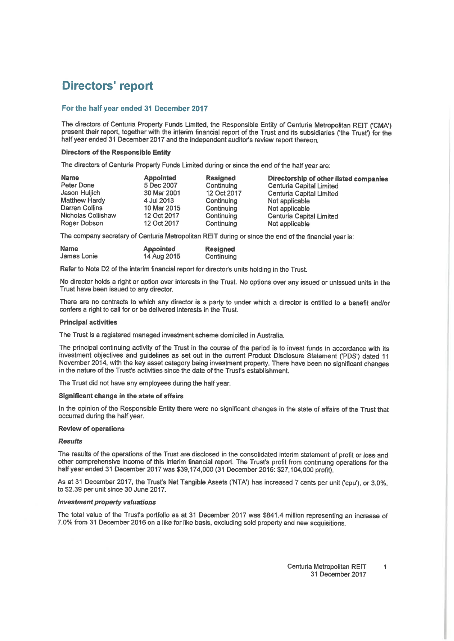## **Directors' report**

#### For the half year ended 31 December 2017

The directors of Centuria Property Funds Limited, the Responsible Entity of Centuria Metropolitan REIT ('CMA') present their report, together with the interim financial report of the Trust and its subsidiaries ('the Trust') for the half year ended 31 December 2017 and the independent auditor's review report thereon.

#### **Directors of the Responsible Entity**

The directors of Centuria Property Funds Limited during or since the end of the half year are:

| <b>Name</b><br>Peter Done<br>Jason Huljich<br><b>Matthew Hardy</b><br>Darren Collins<br>Nicholas Collishaw | <b>Appointed</b><br>5 Dec 2007<br>30 Mar 2001<br>4 Jul 2013<br>10 Mar 2015<br>12 Oct 2017 | <b>Resigned</b><br>Continuing<br>12 Oct 2017<br>Continuing<br>Continuing<br>Continuing | Directorship of other listed companies<br><b>Centuria Capital Limited</b><br>Centuria Capital Limited<br>Not applicable<br>Not applicable |
|------------------------------------------------------------------------------------------------------------|-------------------------------------------------------------------------------------------|----------------------------------------------------------------------------------------|-------------------------------------------------------------------------------------------------------------------------------------------|
| Roger Dobson                                                                                               | 12 Oct 2017                                                                               | Continuing                                                                             | <b>Centuria Capital Limited</b><br>Not applicable                                                                                         |

The company secretary of Centuria Metropolitan REIT during or since the end of the financial year is:

| <b>Name</b> | <b>Appointed</b> | <b>Resigned</b> |
|-------------|------------------|-----------------|
| James Lonie | 14 Aug 2015      | Continuing      |

Refer to Note D2 of the interim financial report for director's units holding in the Trust.

No director holds a right or option over interests in the Trust. No options over any issued or unissued units in the Trust have been issued to any director.

There are no contracts to which any director is a party to under which a director is entitled to a benefit and/or confers a right to call for or be delivered interests in the Trust.

#### **Principal activities**

The Trust is a registered managed investment scheme domiciled in Australia.

The principal continuing activity of the Trust in the course of the period is to invest funds in accordance with its investment objectives and guidelines as set out in the current Product Disclosure Statement ('PDS') dated 11 November 2014, with the key asset category being investment property. There have been no significant changes in the nature of the Trust's activities since the date of the Trust's establishment.

The Trust did not have any employees during the half year.

#### Significant change in the state of affairs

In the opinion of the Responsible Entity there were no significant changes in the state of affairs of the Trust that occurred during the half year.

#### **Review of operations**

#### **Results**

The results of the operations of the Trust are disclosed in the consolidated interim statement of profit or loss and other comprehensive income of this interim financial report. The Trust's profit from continuing operations for the half year ended 31 December 2017 was \$39,174,000 (31 December 2016: \$27,104,000 profit).

As at 31 December 2017, the Trust's Net Tangible Assets ('NTA') has increased 7 cents per unit ('cpu'), or 3.0%. to \$2.39 per unit since 30 June 2017.

#### **Investment property valuations**

The total value of the Trust's portfolio as at 31 December 2017 was \$841.4 million representing an increase of 7.0% from 31 December 2016 on a like for like basis, excluding sold property and new acquisitions.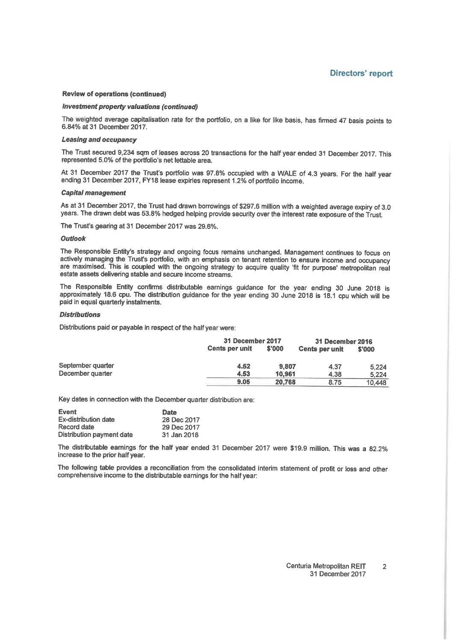#### **Review of operations (continued)**

#### Investment property valuations (continued)

The weighted average capitalisation rate for the portfolio, on a like for like basis, has firmed 47 basis points to 6.84% at 31 December 2017.

#### **Leasing and occupancy**

The Trust secured 9.234 sqm of leases across 20 transactions for the half year ended 31 December 2017. This represented 5.0% of the portfolio's net lettable area.

At 31 December 2017 the Trust's portfolio was 97.8% occupied with a WALE of 4.3 years. For the half year ending 31 December 2017, FY18 lease expiries represent 1.2% of portfolio income.

#### **Capital management**

As at 31 December 2017, the Trust had drawn borrowings of \$297.6 million with a weighted average expiry of 3.0 years. The drawn debt was 53.8% hedged helping provide security over the interest rate exposure of the Trust.

The Trust's gearing at 31 December 2017 was 29.6%.

#### Outlook

The Responsible Entity's strategy and ongoing focus remains unchanged. Management continues to focus on actively managing the Trust's portfolio, with an emphasis on tenant retention to ensure income and occupancy are maximised. This is coupled with the ongoing strategy to acquire quality 'fit for purpose' metropolitan real estate assets delivering stable and secure income streams.

The Responsible Entity confirms distributable earnings guidance for the year ending 30 June 2018 is approximately 18.6 cpu. The distribution guidance for the year ending 30 June 2018 is 18.1 cpu which will be paid in equal quarterly instalments.

#### **Distributions**

Distributions paid or payable in respect of the half year were:

|                   |                       | 31 December 2017 |                       | 31 December 2016 |
|-------------------|-----------------------|------------------|-----------------------|------------------|
|                   | <b>Cents per unit</b> | \$'000           | <b>Cents per unit</b> | \$'000           |
| September quarter | 4.52                  | 9.807            | 4.37                  | 5.224            |
| December quarter  | 4.53                  | 10.961           | 4.38                  | 5.224            |
|                   | 9.05                  | 20.768           | 8.75                  | 10.448           |

Key dates in connection with the December quarter distribution are:

| <b>Event</b>              | Date        |
|---------------------------|-------------|
| Ex-distribution date      | 28 Dec 2017 |
| Record date               | 29 Dec 2017 |
| Distribution payment date | 31 Jan 2018 |

The distributable earnings for the half year ended 31 December 2017 were \$19.9 million. This was a 82.2% increase to the prior half year.

The following table provides a reconciliation from the consolidated interim statement of profit or loss and other comprehensive income to the distributable earnings for the half year: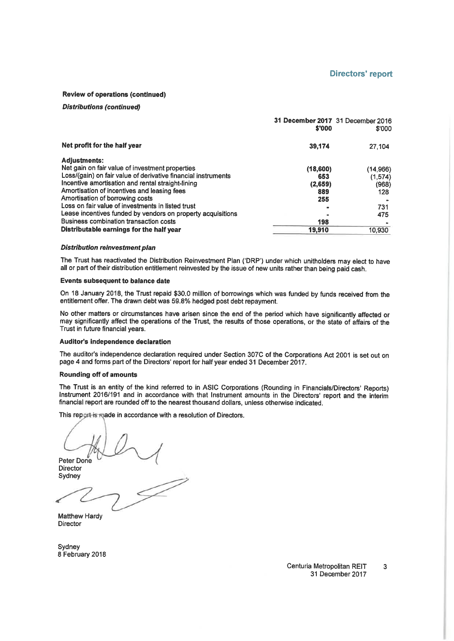#### **Review of operations (continued)**

#### **Distributions (continued)**

|                                                               | 31 December 2017 31 December 2016<br>\$'000 | \$'000   |
|---------------------------------------------------------------|---------------------------------------------|----------|
| Net profit for the half year                                  | 39,174                                      | 27,104   |
| <b>Adjustments:</b>                                           |                                             |          |
| Net gain on fair value of investment properties               | (18,600)                                    | (14,966) |
| Loss/(gain) on fair value of derivative financial instruments | 653                                         | (1, 574) |
| Incentive amortisation and rental straight-lining             | (2,659)                                     | (968)    |
| Amortisation of incentives and leasing fees                   | 889                                         | 128      |
| Amortisation of borrowing costs                               | 255                                         |          |
| Loss on fair value of investments in listed trust             |                                             | 731      |
| Lease incentives funded by vendors on property acquisitions   |                                             | 475      |
| <b>Business combination transaction costs</b>                 | 198                                         |          |
| Distributable earnings for the half year                      | 19.910                                      | 10,930   |

#### **Distribution reinvestment plan**

The Trust has reactivated the Distribution Reinvestment Plan ('DRP') under which unitholders may elect to have all or part of their distribution entitlement reinvested by the issue of new units rather than being paid cash.

#### **Events subsequent to balance date**

On 18 January 2018, the Trust repaid \$30.0 million of borrowings which was funded by funds received from the entitlement offer. The drawn debt was 59.8% hedged post debt repayment.

No other matters or circumstances have arisen since the end of the period which have significantly affected or may significantly affect the operations of the Trust, the results of those operations, or the state of affairs of the Trust in future financial years.

#### Auditor's independence declaration

The auditor's independence declaration required under Section 307C of the Corporations Act 2001 is set out on page 4 and forms part of the Directors' report for half year ended 31 December 2017.

#### **Rounding off of amounts**

The Trust is an entity of the kind referred to in ASIC Corporations (Rounding in Financials/Directors' Reports) Instrument 2016/191 and in accordance with that Instrument amounts in the Directors' report and the interim financial report are rounded off to the nearest thousand dollars, unless otherwise indicated.

This report is made in accordance with a resolution of Directors.

Peter Done

Director Sydney

Matthew Hardy **Director** 

Sydney 8 February 2018

> Centuria Metropolitan REIT  $\overline{3}$ 31 December 2017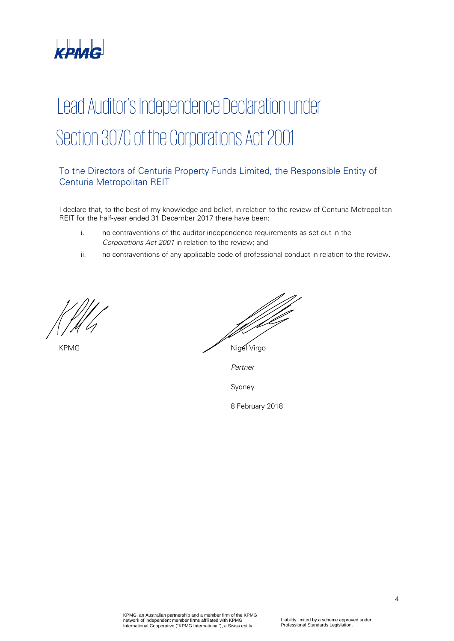

## Lead Auditor's Independence Declaration under Section 307C of the Corporations Act 2001

## To the Directors of Centuria Property Funds Limited, the Responsible Entity of Centuria Metropolitan REIT

I declare that, to the best of my knowledge and belief, in relation to the review of Centuria Metropolitan REIT for the half-year ended 31 December 2017 there have been:

- i. no contraventions of the auditor independence requirements as set out in the Corporations Act 2001 in relation to the review; and
- ii. no contraventions of any applicable code of professional conduct in relation to the review.

*PAR\_SIG\_01 PAR\_NAM\_01 PAR\_POS\_01 PAR\_DAT\_01 PAR\_CIT\_01*

KPMG Nigel Virgo

Partner

Sydney

8 February 2018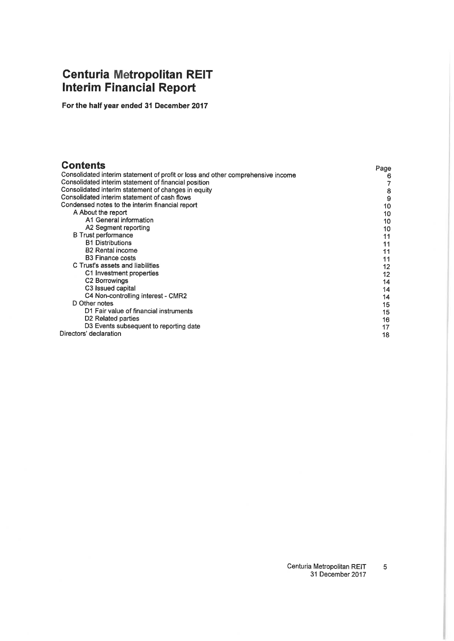# **Centuria Metropolitan REIT**<br>Interim Financial Report

For the half year ended 31 December 2017

| <b>Contents</b><br>Consolidated interim statement of profit or loss and other comprehensive income<br>Consolidated interim statement of financial position | Page<br>6 |
|------------------------------------------------------------------------------------------------------------------------------------------------------------|-----------|
| Consolidated interim statement of changes in equity                                                                                                        | 8         |
| Consolidated interim statement of cash flows                                                                                                               | 9         |
| Condensed notes to the interim financial report                                                                                                            | 10        |
| A About the report                                                                                                                                         | 10        |
| A1 General information                                                                                                                                     | 10        |
| A2 Segment reporting                                                                                                                                       | 10        |
| <b>B</b> Trust performance                                                                                                                                 | 11        |
| <b>B1 Distributions</b>                                                                                                                                    | 11        |
| <b>B2</b> Rental income                                                                                                                                    | 11        |
| <b>B3</b> Finance costs                                                                                                                                    | 11        |
| C Trust's assets and liabilities                                                                                                                           | 12        |
| C1 Investment properties                                                                                                                                   | 12        |
| C <sub>2</sub> Borrowings                                                                                                                                  | 14        |
| C <sub>3</sub> Issued capital                                                                                                                              | 14        |
| C4 Non-controlling interest - CMR2                                                                                                                         | 14        |
| D Other notes                                                                                                                                              | 15        |
| D1 Fair value of financial instruments                                                                                                                     | 15        |
| D <sub>2</sub> Related parties                                                                                                                             | 16        |
| D3 Events subsequent to reporting date                                                                                                                     | 17        |
| Directors' declaration                                                                                                                                     | 18        |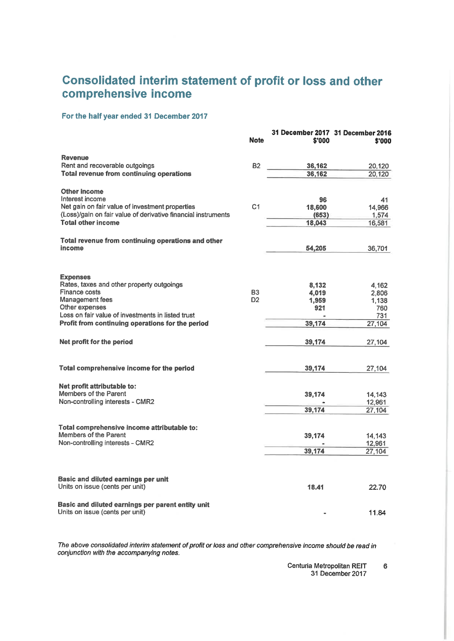## Consolidated interim statement of profit or loss and other comprehensive income

#### For the half year ended 31 December 2017

|                                                                                      | <b>Note</b>                      | \$'000           | 31 December 2017 31 December 2016<br>\$'000 |
|--------------------------------------------------------------------------------------|----------------------------------|------------------|---------------------------------------------|
| <b>Revenue</b>                                                                       |                                  |                  |                                             |
| Rent and recoverable outgoings<br>Total revenue from continuing operations           | <b>B2</b>                        | 36,162<br>36,162 | 20,120<br>20,120                            |
| <b>Other income</b>                                                                  |                                  |                  |                                             |
| Interest income                                                                      |                                  | 96               | 41                                          |
| Net gain on fair value of investment properties                                      | C <sub>1</sub>                   | 18,600           | 14,966                                      |
| (Loss)/gain on fair value of derivative financial instruments                        |                                  | (653)            | 1,574                                       |
| <b>Total other income</b>                                                            |                                  | 18,043           | 16,581                                      |
| Total revenue from continuing operations and other                                   |                                  |                  |                                             |
| income                                                                               |                                  | 54,205           | 36,701                                      |
| <b>Expenses</b>                                                                      |                                  |                  |                                             |
| Rates, taxes and other property outgoings                                            |                                  | 8,132            | 4,162                                       |
| <b>Finance costs</b><br><b>Management fees</b>                                       | B <sub>3</sub><br>D <sub>2</sub> | 4,019            | 2,806                                       |
| Other expenses                                                                       |                                  | 1,959<br>921     | 1,138<br>760                                |
| Loss on fair value of investments in listed trust                                    |                                  |                  | 731                                         |
| Profit from continuing operations for the period                                     |                                  | 39,174           | 27,104                                      |
| Net profit for the period                                                            |                                  | 39,174           | 27,104                                      |
| Total comprehensive income for the period                                            |                                  | 39,174           | 27,104                                      |
| Net profit attributable to:                                                          |                                  |                  |                                             |
| Members of the Parent                                                                |                                  | 39,174           | 14,143                                      |
| Non-controlling interests - CMR2                                                     |                                  |                  | 12,961                                      |
|                                                                                      |                                  | 39,174           | 27,104                                      |
| Total comprehensive income attributable to:                                          |                                  |                  |                                             |
| Members of the Parent                                                                |                                  | 39,174           | 14.143                                      |
| Non-controlling interests - CMR2                                                     |                                  |                  | 12,961                                      |
|                                                                                      |                                  | 39,174           | 27,104                                      |
| <b>Basic and diluted earnings per unit</b>                                           |                                  |                  |                                             |
| Units on issue (cents per unit)                                                      |                                  | 18.41            | 22.70                                       |
| Basic and diluted earnings per parent entity unit<br>Units on issue (cents per unit) |                                  |                  | 11.84                                       |
|                                                                                      |                                  |                  |                                             |

The above consolidated interim statement of profit or loss and other comprehensive income should be read in conjunction with the accompanying notes.

> Centuria Metropolitan REIT  $\bf 6$ 31 December 2017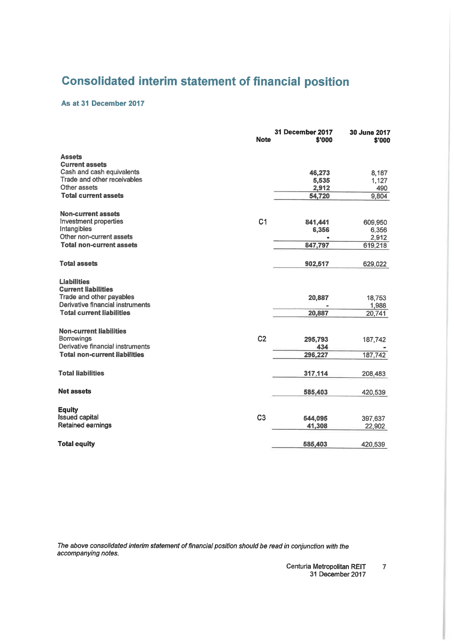## **Consolidated interim statement of financial position**

#### As at 31 December 2017

|                                                              | <b>Note</b>    | 31 December 2017<br>\$'000 | 30 June 2017<br>\$'000 |
|--------------------------------------------------------------|----------------|----------------------------|------------------------|
| <b>Assets</b>                                                |                |                            |                        |
| <b>Current assets</b><br>Cash and cash equivalents           |                |                            |                        |
| Trade and other receivables                                  |                | 46,273<br>5,535            | 8,187<br>1,127         |
| Other assets                                                 |                | 2,912                      | 490                    |
| <b>Total current assets</b>                                  |                | 54,720                     | 9,804                  |
| <b>Non-current assets</b>                                    |                |                            |                        |
| Investment properties                                        | C <sub>1</sub> | 841,441                    | 609,950                |
| Intangibles                                                  |                | 6,356                      | 6,356                  |
| Other non-current assets                                     |                |                            | 2,912                  |
| <b>Total non-current assets</b>                              |                | 847,797                    | 619,218                |
| <b>Total assets</b>                                          |                | 902,517                    | 629,022                |
| <b>Liabilities</b>                                           |                |                            |                        |
| <b>Current liabilities</b>                                   |                |                            |                        |
| Trade and other payables<br>Derivative financial instruments |                | 20,887                     | 18,753                 |
| <b>Total current liabilities</b>                             |                | 20,887                     | 1,988<br>20,741        |
|                                                              |                |                            |                        |
| <b>Non-current liabilities</b><br><b>Borrowings</b>          | C <sub>2</sub> | 295,793                    | 187,742                |
| Derivative financial instruments                             |                | 434                        |                        |
| <b>Total non-current liabilities</b>                         |                | 296,227                    | 187,742                |
|                                                              |                |                            |                        |
| <b>Total liabilities</b>                                     |                | 317,114                    | 208,483                |
| <b>Net assets</b>                                            |                | 585,403                    | 420,539                |
| <b>Equity</b>                                                |                |                            |                        |
| <b>Issued capital</b>                                        | C <sub>3</sub> | 544,095                    | 397,637                |
| Retained earnings                                            |                | 41,308                     | 22,902                 |
|                                                              |                |                            |                        |
| <b>Total equity</b>                                          |                | 585,403                    | 420,539                |

The above consolidated interim statement of financial position should be read in conjunction with the accompanying notes.

> Centuria Metropolitan REIT  $\overline{7}$ 31 December 2017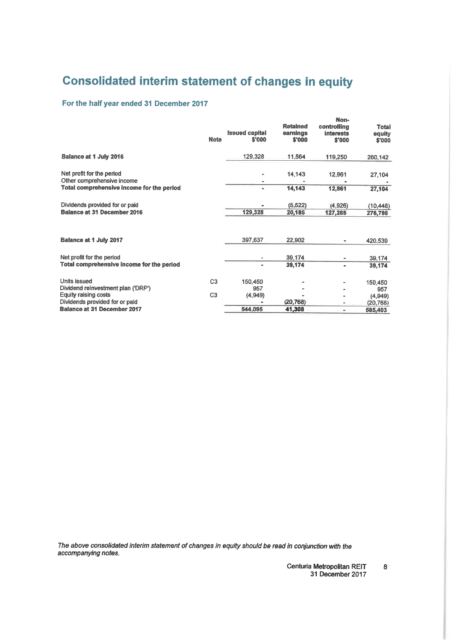## **Consolidated interim statement of changes in equity**

#### For the half year ended 31 December 2017

|                                                                      | <b>Note</b>    | <b>Issued capital</b><br>\$'000 | <b>Retained</b><br>earnings<br>\$'000 | Non-<br>controlling<br><b>interests</b><br>\$'000 | <b>Total</b><br>equity<br>\$'000 |
|----------------------------------------------------------------------|----------------|---------------------------------|---------------------------------------|---------------------------------------------------|----------------------------------|
| Balance at 1 July 2016                                               |                | 129,328                         | 11,564                                | 119,250                                           | 260,142                          |
| Net profit for the period<br>Other comprehensive income              |                |                                 | 14.143                                | 12,961                                            | 27,104                           |
| Total comprehensive income for the period                            |                |                                 | 14,143                                | 12,961                                            | 27,104                           |
| Dividends provided for or paid<br><b>Balance at 31 December 2016</b> |                | 129,328                         | (5, 522)<br>20,185                    | (4,926)<br>127,285                                | (10, 448)<br>276,798             |
| <b>Balance at 1 July 2017</b>                                        |                | 397.637                         | 22,902                                |                                                   | 420,539                          |
| Net profit for the period                                            |                |                                 | 39,174                                |                                                   | 39,174                           |
| Total comprehensive income for the period                            |                | $\blacksquare$                  | 39,174                                | ٠                                                 | 39,174                           |
| Units issued<br>Dividend reinvestment plan ('DRP')                   | C <sub>3</sub> | 150,450<br>957                  |                                       |                                                   | 150,450<br>957                   |
| Equity raising costs                                                 | C <sub>3</sub> | (4,949)                         |                                       |                                                   | (4,949)                          |
| Dividends provided for or paid<br><b>Balance at 31 December 2017</b> |                | 544,095                         | (20, 768)<br>41,308                   | ۰<br>٠                                            | (20, 768)<br>585,403             |
|                                                                      |                |                                 |                                       |                                                   |                                  |

The above consolidated interim statement of changes in equity should be read in conjunction with the accompanying notes.

Centuria Metropolitan REIT 31 December 2017

 $\bf{8}$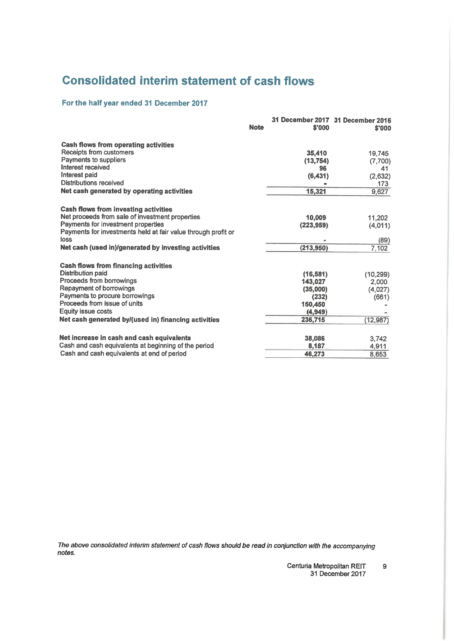## **Consolidated interim statement of cash flows**

#### For the half year ended 31 December 2017

|                                                               | <b>Note</b> | \$'000     | 31 December 2017 31 December 2016<br>\$'000 |
|---------------------------------------------------------------|-------------|------------|---------------------------------------------|
| <b>Cash flows from operating activities</b>                   |             |            |                                             |
| Receipts from customers                                       |             | 35,410     | 19,745                                      |
| <b>Payments to suppliers</b>                                  |             | (13, 754)  | (7,700)                                     |
| <b>Interest received</b>                                      |             | 96         | 41                                          |
| Interest paid                                                 |             | (6,431)    | (2,632)                                     |
| Distributions received                                        |             |            | 173                                         |
| Net cash generated by operating activities                    |             | 15,321     | 9,627                                       |
| <b>Cash flows from investing activities</b>                   |             |            |                                             |
| Net proceeds from sale of investment properties               |             | 10,009     | 11,202                                      |
| Payments for investment properties                            |             | (223.959)  | (4,011)                                     |
| Payments for investments held at fair value through profit or |             |            |                                             |
| loss                                                          |             |            | (89)                                        |
| Net cash (used in)/generated by investing activities          |             | (213, 950) | 7,102                                       |
| <b>Cash flows from financing activities</b>                   |             |            |                                             |
| <b>Distribution paid</b>                                      |             | (16, 581)  | (10, 299)                                   |
| Proceeds from borrowings                                      |             | 143,027    | 2,000                                       |
| Repayment of borrowings                                       |             | (35,000)   | (4,027)                                     |
| Payments to procure borrowings                                |             | (232)      | (661)                                       |
| Proceeds from issue of units                                  |             | 150,450    |                                             |
| Eauity issue costs                                            |             | (4, 949)   |                                             |
| Net cash generated by/(used in) financing activities          |             | 236,715    | (12, 987)                                   |
| Net increase in cash and cash equivalents                     |             | 38.086     | 3,742                                       |
| Cash and cash equivalents at beginning of the period          |             | 8,187      | 4,911                                       |
| Cash and cash equivalents at end of period                    |             | 46,273     | 8.653                                       |

The above consolidated interim statement of cash flows should be read in conjunction with the accompanying notes.

> Centuria Metropolitan REIT  $\overline{9}$ 31 December 2017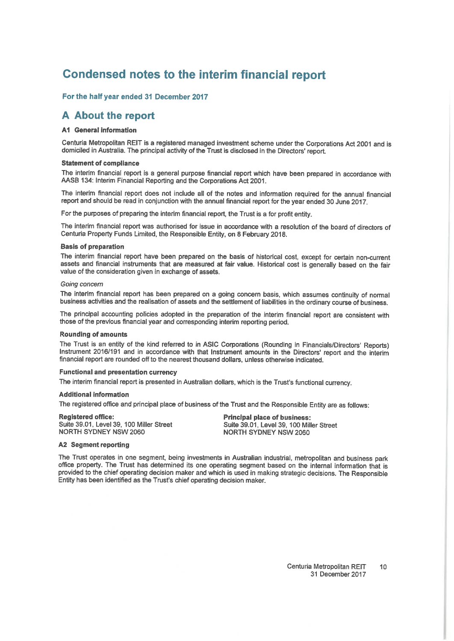## Condensed notes to the interim financial report

#### For the half year ended 31 December 2017

#### A About the report

#### **A1 General information**

Centuria Metropolitan REIT is a registered managed investment scheme under the Corporations Act 2001 and is domiciled in Australia. The principal activity of the Trust is disclosed in the Directors' report.

#### **Statement of compliance**

The interim financial report is a general purpose financial report which have been prepared in accordance with AASB 134: Interim Financial Reporting and the Corporations Act 2001.

The interim financial report does not include all of the notes and information required for the annual financial report and should be read in conjunction with the annual financial report for the year ended 30 June 2017.

For the purposes of preparing the interim financial report, the Trust is a for profit entity.

The interim financial report was authorised for issue in accordance with a resolution of the board of directors of Centuria Property Funds Limited, the Responsible Entity, on 8 February 2018.

#### **Basis of preparation**

The interim financial report have been prepared on the basis of historical cost, except for certain non-current assets and financial instruments that are measured at fair value. Historical cost is generally based on the fair value of the consideration given in exchange of assets.

#### Going concern

The interim financial report has been prepared on a going concern basis, which assumes continuity of normal business activities and the realisation of assets and the settlement of liabilities in the ordinary course of business.

The principal accounting policies adopted in the preparation of the interim financial report are consistent with those of the previous financial year and corresponding interim reporting period.

#### **Rounding of amounts**

The Trust is an entity of the kind referred to in ASIC Corporations (Rounding in Financials/Directors' Reports) Instrument 2016/191 and in accordance with that Instrument amounts in the Directors' report and the interim financial report are rounded off to the nearest thousand dollars, unless otherwise indicated.

#### **Functional and presentation currency**

The interim financial report is presented in Australian dollars, which is the Trust's functional currency.

#### **Additional information**

The registered office and principal place of business of the Trust and the Responsible Entity are as follows:

**Realstered office:** Suite 39.01, Level 39, 100 Miller Street **NORTH SYDNEY NSW 2060** 

**Principal place of business:** Suite 39.01, Level 39, 100 Miller Street **NORTH SYDNEY NSW 2060** 

#### **A2 Segment reporting**

The Trust operates in one segment, being investments in Australian industrial, metropolitan and business park office property. The Trust has determined its one operating segment based on the internal information that is provided to the chief operating decision maker and which is used in making strategic decisions. The Responsible Entity has been identified as the Trust's chief operating decision maker.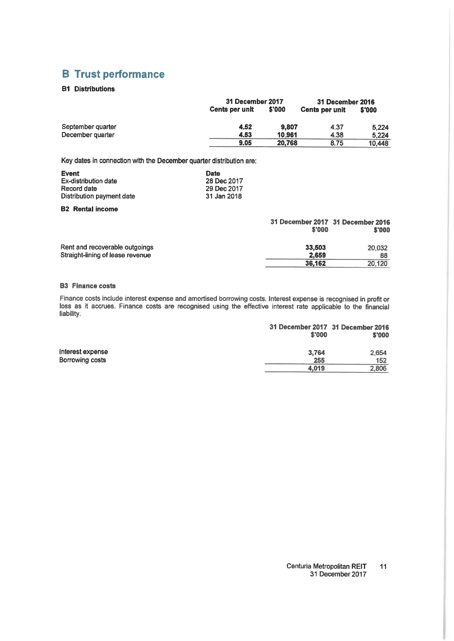## **B** Trust performance

#### **B1 Distributions**

|                   |                       | 31 December 2017 |                       | 31 December 2016 |
|-------------------|-----------------------|------------------|-----------------------|------------------|
|                   | <b>Cents per unit</b> | \$'000           | <b>Cents per unit</b> | \$'000           |
| September quarter | 4.52                  | 9.807            | 4.37                  | 5.224            |
| December quarter  | 4.53                  | 10.961           | 4.38                  | 5.224            |
|                   | 9.05                  | 20.768           | 8.75                  | 10.448           |

Key dates in connection with the December quarter distribution are:

| Event                     | <b>Date</b> |
|---------------------------|-------------|
| Ex-distribution date      | 28 Dec 2017 |
| Record date               | 29 Dec 2017 |
| Distribution payment date | 31 Jan 2018 |

#### **B2** Rental income

|                                                                    | 31 December 2017 31 December 2016<br>\$'000 | \$'000       |
|--------------------------------------------------------------------|---------------------------------------------|--------------|
| Rent and recoverable outgoings<br>Straight-lining of lease revenue | 33.503<br>2.659                             | 20,032<br>88 |
|                                                                    | 36,162                                      | 20,120       |

#### **B3** Finance costs

Finance costs include interest expense and amortised borrowing costs. Interest expense is recognised in profit or loss as it accrues. Finance costs are recognised using the effective interest rate applicable to the financial liability.

|       | \$'000 |
|-------|--------|
| 3,764 | 2.654  |
| 255   | 152    |
| 4.019 | 2,806  |
|       | \$'000 |

#### Centuria Metropolitan REIT  $11$ 31 December 2017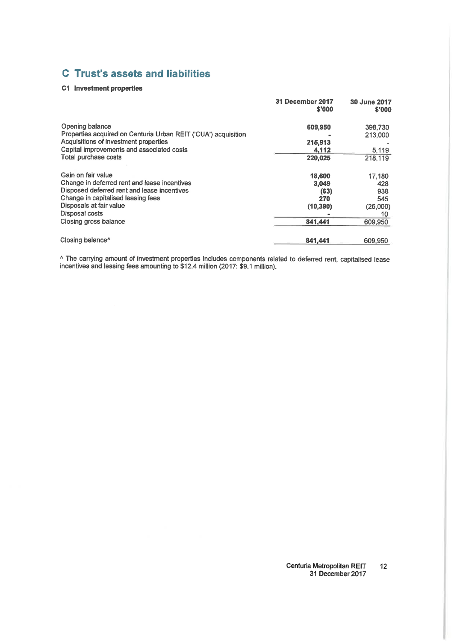## **C** Trust's assets and liabilities

#### C1 Investment properties

|                                                                | 31 December 2017<br>\$'000 | 30 June 2017<br>\$'000 |
|----------------------------------------------------------------|----------------------------|------------------------|
| Opening balance                                                | 609,950                    | 398,730                |
| Properties acquired on Centuria Urban REIT ('CUA') acquisition |                            | 213,000                |
| Acquisitions of investment properties                          | 215,913                    |                        |
| Capital improvements and associated costs                      | 4.112                      | 5,119                  |
| <b>Total purchase costs</b>                                    | 220.025                    | 218,119                |
| Gain on fair value                                             | 18,600                     | 17,180                 |
| Change in deferred rent and lease incentives                   | 3.049                      | 428                    |
| Disposed deferred rent and lease incentives                    | (63)                       | 938                    |
| Change in capitalised leasing fees                             | 270                        | 545                    |
| Disposals at fair value                                        | (10, 390)                  | (26,000)               |
| Disposal costs                                                 |                            | 10                     |
| Closing gross balance                                          | 841,441                    | 609,950                |
| Closing balance <sup>^</sup>                                   | 841,441                    | 609.950                |

^ The carrying amount of investment properties includes components related to deferred rent, capitalised lease incentives and leasing fees amounting to \$12.4 million (2017: \$9.1 million).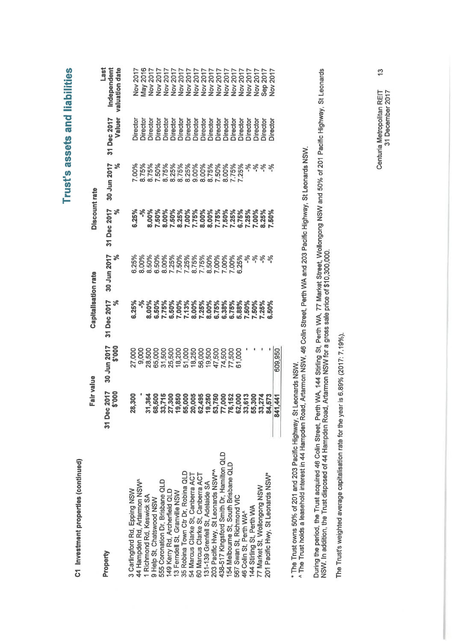C1 Investment properties (continued)

|                                          | Fair value                                                                                                                       |                       | Capitalisation rate     |                                           | Discount rate     |                                  |                       |                                              |
|------------------------------------------|----------------------------------------------------------------------------------------------------------------------------------|-----------------------|-------------------------|-------------------------------------------|-------------------|----------------------------------|-----------------------|----------------------------------------------|
| Property                                 | 2017<br>\$'000<br>31 Dec                                                                                                         | 30 Jun 2017<br>000.\$ | 31 Dec 2017<br>న        | 30 Jun 2017<br>శ                          | 31 Dec 2017<br>ೢೕ | 30 Jun 2017<br>వి                | Valuer<br>31 Dec 2017 | <b>Last</b><br>Independent<br>valuation date |
| 3 Carlingford Rd, Epping NSW             | <b>300</b><br>ಔ                                                                                                                  | 8                     | 6.25%                   | 6.25%                                     | 6.25%             | <b>NoO'L</b>                     |                       |                                              |
| 44 Hampden Rd, Artarmon NSW              |                                                                                                                                  |                       |                         |                                           |                   |                                  | <b>Jirector</b>       | <b>Nov 2017</b>                              |
|                                          |                                                                                                                                  | 9,000                 |                         | 8.00%                                     | ళ్                |                                  | <b>Director</b>       |                                              |
| 1 Richmond Rd, Keswick SA                |                                                                                                                                  |                       | 8.00%                   | 8.50%                                     | 8.00%             | 8.75%<br>8.75%                   | <b>Director</b>       | 2016<br>View<br>Nov                          |
| 9 Help St, Chatswood NSW                 |                                                                                                                                  |                       |                         | 6.50%                                     |                   |                                  | Director              |                                              |
| 555 Coronation Dr. Brisbane QLD          | 325                                                                                                                              |                       | 6.50%<br>7.75%<br>6.50% | 8.00%                                     | 7.50%<br>8.00%    |                                  | Director              |                                              |
| 149 Kerry Rd, Archerfield QLD            |                                                                                                                                  |                       |                         | 7.25%                                     |                   |                                  | Director              |                                              |
| 13 Ferndell St, Granville NSW            |                                                                                                                                  |                       |                         |                                           | 7.50%<br>8.25%    | 7.50%<br>8.75%<br>8.25%<br>8.75% | Director              |                                              |
| 35 Robina Town Ctr Dr, Robina QLD        | ង ម៉ូ ដែល ដូច ទី ដំ ដូ ដូច ដូច ដូច ដូច ដូច ដូច ដូច<br>ទី ១ ដូច ទី ទី ទី ទី ដូច ម៉ូ ម៉ូ ម៉ូ ទី ដូច ដូច ដូច ដូច ដូច<br><b>5825</b> |                       | 7.00%<br>7.13%<br>8.00% | 7.50%<br>7.25%<br>7.75%<br>7.00%<br>7.00% |                   | 8.25%                            | Director              |                                              |
| 54 Marcus Clarke St, Canberra ACT        |                                                                                                                                  | 18,250                |                         |                                           |                   | 9.00%                            | Director              |                                              |
| 60 Marcus Clarke St, Canberra ACT        |                                                                                                                                  | 56,000<br>19,500      |                         |                                           |                   |                                  | Director              |                                              |
| 31-139 Grenfell St, Adelaide SA          |                                                                                                                                  |                       |                         |                                           |                   |                                  | Director              |                                              |
| 203 Pacific Hwy, St Leonards NSW*        | <b>22</b>                                                                                                                        | 47,500<br>74,500      |                         |                                           |                   |                                  |                       |                                              |
| 438-517 Kingsford Smith Dr, Hamilton QLD |                                                                                                                                  |                       |                         | $00\%$                                    |                   | 8.00%<br>8.75%<br>7.50%<br>8.00% | Director<br>Director  |                                              |
| 54 Melbourne St, South Brisbane QLD      | <b>22355</b>                                                                                                                     | 77,500<br>61,000      |                         | * * * * * *<br>0025<br>0.25 * * * *       |                   | 7.75%                            | Director              |                                              |
| 567 Swan St, Richmond VIC                |                                                                                                                                  |                       |                         |                                           |                   |                                  | Director              |                                              |
| 46 Colin St. Perth WA^                   |                                                                                                                                  |                       |                         |                                           |                   |                                  | Director              |                                              |
| 144 Stirling St, Perth WA                |                                                                                                                                  |                       |                         |                                           | 7,00%             | *****<br>^<br>^                  | <b>Director</b>       |                                              |
| 77 Market St, Wollongong NSW             | ္က                                                                                                                               |                       |                         |                                           | 8.25%             |                                  | Director              | 2017<br>Sep:                                 |
| 201 Pacific Hwy, St Leonards NSW*        | $\mathbf{r}$                                                                                                                     |                       | <b>190%</b>             |                                           | 7.50%             |                                  | <b>Director</b>       | 2017<br>$\frac{1}{2}$                        |
|                                          | 441<br>841                                                                                                                       | 609,950               |                         |                                           |                   |                                  |                       |                                              |
|                                          |                                                                                                                                  |                       |                         |                                           |                   |                                  |                       |                                              |

\* The Trust owns 50% of 201 and 203 Pacific Highway, St Leonards NSW.<br>^ The Trust holds a leasehold interest in 44 Hampden Road, Artarmon NSW, 46 Colin Street, Perth WA and 203 Pacific Highway, St Leonards NSW.

During the period, the Trust acquired 46 Colin Street, Perth WA, 144 Stirling St, Perth WA, 77 Market Street, Wollongong NSW and 50% of 201 Pacific Highway, St Leonards<br>NSW. In addition, the Trust disposed of 44 Hampden Ro

The Trust's weighted average capitalisation rate for the year is 6.89% (2017: 7.19%).

<u>ო</u> Centuria Metropolitan REIT<br>31 December 2017

Trust's assets and liabilities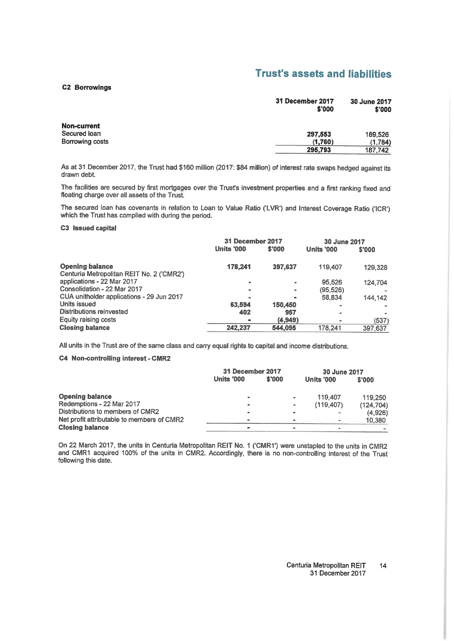## **Trust's assets and liabilities**

#### **C2 Borrowings**

|                 | 31 December 2017<br>\$'000 | 30 June 2017<br>\$'000 |
|-----------------|----------------------------|------------------------|
| Non-current     |                            |                        |
| Secured loan    | 297,553                    | 189,526                |
| Borrowing costs | (1,760)                    | (1.784)                |
|                 | 295.793                    | 187.742                |

As at 31 December 2017, the Trust had \$160 million (2017: \$84 million) of interest rate swaps hedged against its drawn debt.

The facilities are secured by first mortgages over the Trust's investment properties and a first ranking fixed and floating charge over all assets of the Trust.

The secured loan has covenants in relation to Loan to Value Ratio ('LVR') and Interest Coverage Ratio ('ICR') which the Trust has complied with during the period.

**C3** Issued capital

|                                                                     | 31 December 2017  |                | 30 June 2017 |         |
|---------------------------------------------------------------------|-------------------|----------------|--------------|---------|
|                                                                     | <b>Units '000</b> | \$'000         | Units '000   | \$'000  |
| <b>Opening balance</b><br>Centuria Metropolitan REIT No. 2 ('CMR2') | 178.241           | 397,637        | 119,407      | 129,328 |
| applications - 22 Mar 2017                                          | m.                | ۰              | 95.526       | 124.704 |
| Consolidation - 22 Mar 2017                                         | $\blacksquare$    | $\blacksquare$ | (95, 526)    |         |
| CUA unitholder applications - 29 Jun 2017                           | -                 | $\blacksquare$ | 58.834       | 144.142 |
| Units issued                                                        | 63,594            | 150,450        |              |         |
| Distributions reinvested                                            | 402               | 957            |              |         |
| Equity raising costs                                                |                   | (4, 949)       |              | (537)   |
| <b>Closing balance</b>                                              | 242,237           | 544,095        | 178.241      | 397,637 |

All units in the Trust are of the same class and carry equal rights to capital and income distributions.

#### C4 Non-controlling interest - CMR2

|                                            | 31 December 2017 |        | 30 June 2017   |            |            |
|--------------------------------------------|------------------|--------|----------------|------------|------------|
|                                            | Units '000       | \$'000 |                | Units '000 | \$'000     |
| <b>Opening balance</b>                     | $\sim$           |        | $\sim$         | 119.407    | 119,250    |
| Redemptions - 22 Mar 2017                  |                  |        | $\blacksquare$ | (119, 407) | (124, 704) |
| Distributions to members of CMR2           | -                |        | $\equiv$       |            | (4,926)    |
| Net profit attributable to members of CMR2 |                  |        |                |            | 10,380     |
| <b>Closing balance</b>                     | $\blacksquare$   |        |                |            |            |

On 22 March 2017, the units in Centuria Metropolitan REIT No. 1 ('CMR1') were unstapled to the units in CMR2 and CMR1 acquired 100% of the units in CMR2. Accordingly, there is no non-controlling interest of the Trust following this date.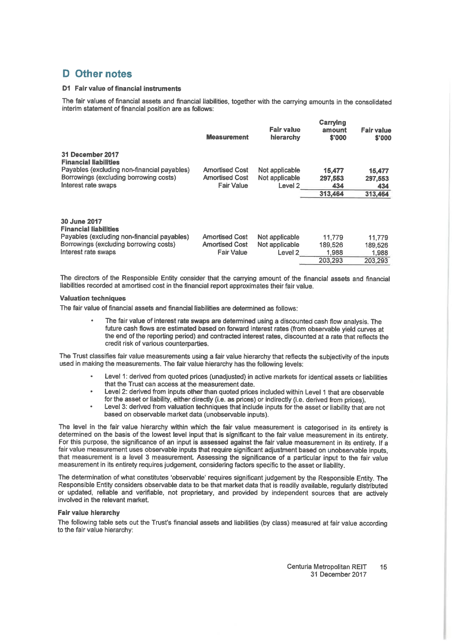### D Other notes

#### D1 Fair value of financial instruments

The fair values of financial assets and financial liabilities, together with the carrying amounts in the consolidated interim statement of financial position are as follows:

|                                                                                                                                                                  | <b>Measurement</b>                                                  | Fair value<br>hierarchy                                | Carrying<br>amount<br>\$'000          | Fair value<br>\$'000                  |
|------------------------------------------------------------------------------------------------------------------------------------------------------------------|---------------------------------------------------------------------|--------------------------------------------------------|---------------------------------------|---------------------------------------|
| 31 December 2017<br><b>Financial liabilities</b><br>Payables (excluding non-financial payables)<br>Borrowings (excluding borrowing costs)<br>Interest rate swaps | <b>Amortised Cost</b><br><b>Amortised Cost</b><br><b>Fair Value</b> | Not applicable<br>Not applicable<br>Level <sub>2</sub> | 15,477<br>297.553<br>434              | 15,477<br>297,553<br>434              |
|                                                                                                                                                                  |                                                                     |                                                        | 313,464                               | 313,464                               |
| 30 June 2017<br><b>Financial liabilities</b><br>Payables (excluding non-financial payables)<br>Borrowings (excluding borrowing costs)<br>Interest rate swaps     | <b>Amortised Cost</b><br><b>Amortised Cost</b><br><b>Fair Value</b> | Not applicable<br>Not applicable<br>Level <sub>2</sub> | 11,779<br>189,526<br>1.988<br>203.293 | 11,779<br>189,526<br>1,988<br>203.293 |

The directors of the Responsible Entity consider that the carrying amount of the financial assets and financial liabilities recorded at amortised cost in the financial report approximates their fair value.

#### **Valuation techniques**

The fair value of financial assets and financial liabilities are determined as follows:

The fair value of interest rate swaps are determined using a discounted cash flow analysis. The future cash flows are estimated based on forward interest rates (from observable vield curves at the end of the reporting period) and contracted interest rates, discounted at a rate that reflects the credit risk of various counterparties.

The Trust classifies fair value measurements using a fair value hierarchy that reflects the subjectivity of the inputs used in making the measurements. The fair value hierarchy has the following levels:

- Level 1: derived from quoted prices (unadjusted) in active markets for identical assets or liabilities that the Trust can access at the measurement date.
- Level 2: derived from inputs other than quoted prices included within Level 1 that are observable for the asset or liability, either directly (i.e. as prices) or indirectly (i.e. derived from prices).
- Level 3: derived from valuation techniques that include inputs for the asset or liability that are not based on observable market data (unobservable inputs).

The level in the fair value hierarchy within which the fair value measurement is categorised in its entirety is determined on the basis of the lowest level input that is significant to the fair value measurement in its entirety. For this purpose, the significance of an input is assessed against the fair value measurement in its entirety. If a fair value measurement uses observable inputs that require significant adjustment based on unobservable inputs, that measurement is a level 3 measurement. Assessing the significance of a particular input to the fair value measurement in its entirety requires judgement, considering factors specific to the asset or liability.

The determination of what constitutes 'observable' requires significant judgement by the Responsible Entity. The Responsible Entity considers observable data to be that market data that is readily available, reqularly distributed or updated, reliable and verifiable, not proprietary, and provided by independent sources that are actively involved in the relevant market.

#### **Fair value hierarchy**

The following table sets out the Trust's financial assets and liabilities (by class) measured at fair value according to the fair value hierarchy:

> Centuria Metropolitan REIT 15 31 December 2017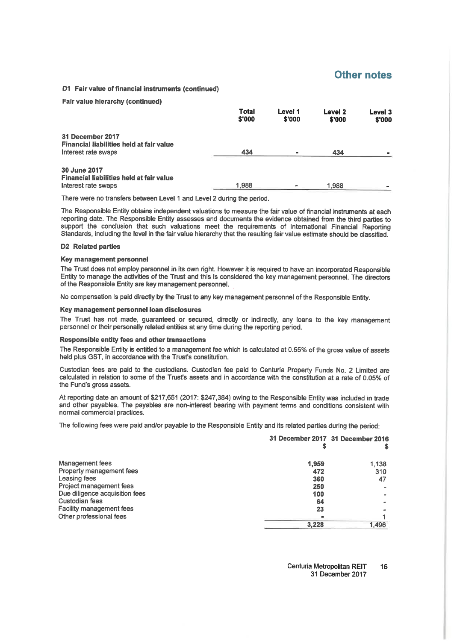#### Other notes

#### D1 Fair value of financial instruments (continued)

#### **Fair value hierarchy (continued)**

|                                                                                            | <b>Total</b><br>\$'000 | Level 1<br>\$'000 | Level 2<br>\$'000 | Level 3<br>\$'000 |
|--------------------------------------------------------------------------------------------|------------------------|-------------------|-------------------|-------------------|
| 31 December 2017<br><b>Financial liabilities held at fair value</b><br>Interest rate swaps | 434                    |                   | 434               |                   |
| 30 June 2017<br>Financial liabilities held at fair value<br>Interest rate swaps            | 1,988                  |                   | 1,988             |                   |

There were no transfers between Level 1 and Level 2 during the period.

The Responsible Entity obtains independent valuations to measure the fair value of financial instruments at each reporting date. The Responsible Entity assesses and documents the evidence obtained from the third parties to support the conclusion that such valuations meet the requirements of International Financial Reporting Standards, including the level in the fair value hierarchy that the resulting fair value estimate should be classified.

#### **D2** Related parties

#### Key management personnel

The Trust does not employ personnel in its own right. However it is required to have an incorporated Responsible Entity to manage the activities of the Trust and this is considered the key management personnel. The directors of the Responsible Entity are key management personnel.

No compensation is paid directly by the Trust to any key management personnel of the Responsible Entity.

#### Key management personnel loan disclosures

The Trust has not made, guaranteed or secured, directly or indirectly, any loans to the key management personnel or their personally related entities at any time during the reporting period.

#### Responsible entity fees and other transactions

The Responsible Entity is entitled to a management fee which is calculated at 0.55% of the gross value of assets held plus GST, in accordance with the Trust's constitution.

Custodian fees are paid to the custodians. Custodian fee paid to Centuria Property Funds No. 2 Limited are calculated in relation to some of the Trust's assets and in accordance with the constitution at a rate of 0.05% of the Fund's gross assets.

At reporting date an amount of \$217,651 (2017: \$247,384) owing to the Responsible Entity was included in trade and other payables. The payables are non-interest bearing with payment terms and conditions consistent with normal commercial practices.

The following fees were paid and/or payable to the Responsible Entity and its related parties during the period:

|                                 | 31 December 2017 31 December 2016 |       |
|---------------------------------|-----------------------------------|-------|
| <b>Management fees</b>          | 1,959                             | 1.138 |
| Property management fees        | 472                               | 310   |
| Leasing fees                    | 360                               | 47    |
| Project management fees         | 250                               |       |
| Due diligence acquisition fees  | 100                               |       |
| Custodian fees                  | 64                                |       |
| <b>Facility management fees</b> | 23                                |       |
| Other professional fees         |                                   |       |
|                                 | 3,228                             | 1.496 |

Centuria Metropolitan REIT 16 31 December 2017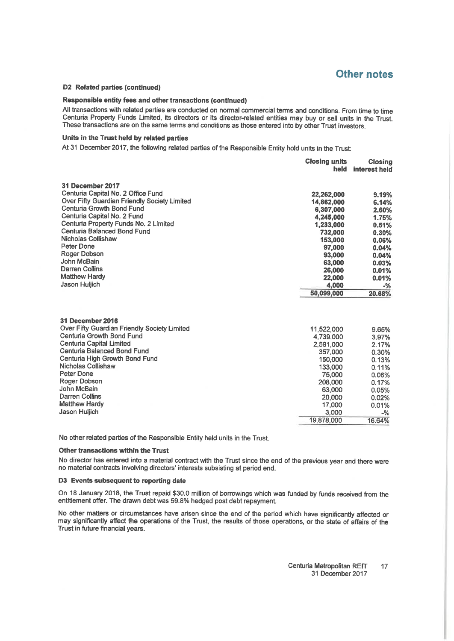### **Other notes**

 $0.06%$ 0.17% 0.05% 0.02%

#### D2 Related parties (continued)

#### Responsible entity fees and other transactions (continued)

All transactions with related parties are conducted on normal commercial terms and conditions. From time to time Centuria Property Funds Limited, its directors or its director-related entities may buy or sell units in the Trust. These transactions are on the same terms and conditions as those entered into by other Trust investors.

#### Units in the Trust held by related parties

At 31 December 2017, the following related parties of the Responsible Entity hold units in the Trust:

|                                              | <b>Closing units</b><br>held | <b>Closing</b><br>interest held |
|----------------------------------------------|------------------------------|---------------------------------|
| 31 December 2017                             |                              |                                 |
| Centuria Capital No. 2 Office Fund           | 22,262,000                   | 9.19%                           |
| Over Fifty Guardian Friendly Society Limited | 14,862,000                   | 6.14%                           |
| Centuria Growth Bond Fund                    | 6,307,000                    | 2.60%                           |
| Centuria Capital No. 2 Fund                  | 4,245,000                    | 1.75%                           |
| Centuria Property Funds No. 2 Limited        | 1,233,000                    | 0.51%                           |
| Centuria Balanced Bond Fund                  | 732,000                      | 0.30%                           |
| Nicholas Collishaw                           | 153,000                      | 0.06%                           |
| Peter Done                                   | 97,000                       | 0.04%                           |
| Roger Dobson                                 | 93,000                       | 0.04%                           |
| John McBain                                  | 63,000                       | 0.03%                           |
| <b>Darren Collins</b>                        | 26,000                       | 0.01%                           |
| <b>Matthew Hardy</b>                         | 22,000                       | 0.01%                           |
| Jason Huljich                                | 4.000                        | $-$ %                           |
|                                              | 50,099,000                   | 20.68%                          |
| 31 December 2016                             |                              |                                 |
| Over Fifty Guardian Friendly Society Limited | 11,522,000                   | 9.65%                           |
| <b>Centuria Growth Bond Fund</b>             | 4,739,000                    | 3.97%                           |
| <b>Centuria Capital Limited</b>              | 2,591,000                    | 2.17%                           |
| Centuria Balanced Bond Fund                  | 357,000                      | 0.30%                           |
| Centuria High Growth Bond Fund               | 150,000                      | 0.13%                           |
| Nicholas Collishaw                           | 133,000                      | 0.11%                           |

| Centuria High Growth Bond Fund | 150,000    | 0.13%  |
|--------------------------------|------------|--------|
| Nicholas Collishaw             | 133,000    | 0.11%  |
| Peter Done                     | 75,000     | 0.06%  |
| Roger Dobson                   | 208,000    | 0.17%  |
| John McBain                    | 63,000     | 0.05%  |
| Darren Collins                 | 20,000     | 0.02%  |
| <b>Matthew Hardy</b>           | 17,000     | 0.01%  |
| <b>Jason Huliich</b>           | 3.000      | $-$ %  |
|                                | 19,878,000 | 16.64% |
|                                |            |        |

No other related parties of the Responsible Entity held units in the Trust.

#### Other transactions within the Trust

No director has entered into a material contract with the Trust since the end of the previous year and there were no material contracts involving directors' interests subsisting at period end.

#### D3 Events subsequent to reporting date

On 18 January 2018, the Trust repaid \$30.0 million of borrowings which was funded by funds received from the entitlement offer. The drawn debt was 59.8% hedged post debt repayment.

No other matters or circumstances have arisen since the end of the period which have significantly affected or may significantly affect the operations of the Trust, the results of those operations, or the state of affairs of the Trust in future financial years.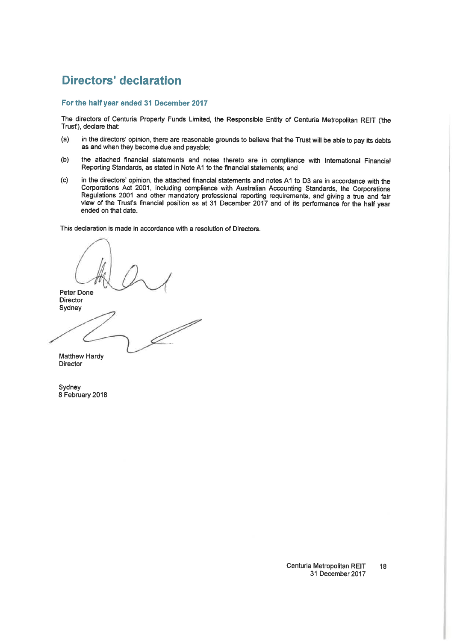## **Directors' declaration**

#### For the half year ended 31 December 2017

The directors of Centuria Property Funds Limited, the Responsible Entity of Centuria Metropolitan REIT ('the Trust'), declare that:

- in the directors' opinion, there are reasonable grounds to believe that the Trust will be able to pay its debts  $(a)$ as and when they become due and payable;
- $(b)$ the attached financial statements and notes thereto are in compliance with International Financial Reporting Standards, as stated in Note A1 to the financial statements; and
- in the directors' opinion, the attached financial statements and notes A1 to D3 are in accordance with the  $(c)$ Corporations Act 2001, including compliance with Australian Accounting Standards, the Corporations Regulations 2001 and other mandatory professional reporting requirements, and giving a true and fair view of the Trust's financial position as at 31 December 2017 and of its performance for the half year ended on that date.

This declaration is made in accordance with a resolution of Directors.

Peter Done Director Sydney D

Matthew Hardy Director

Sydney 8 February 2018

> Centuria Metropolitan REIT 18 31 December 2017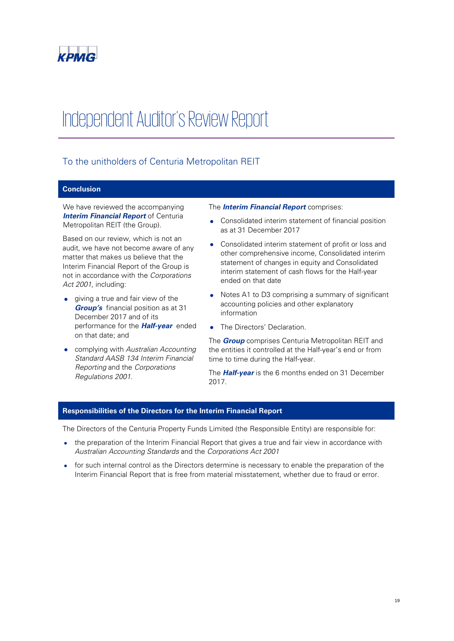

## Independent Auditor's Review Report

### To the unitholders of Centuria Metropolitan REIT

#### **Conclusion**

We have reviewed the accompanying **Interim Financial Report** of Centuria Metropolitan REIT (the Group).

Based on our review, which is not an audit, we have not become aware of any matter that makes us believe that the Interim Financial Report of the Group is not in accordance with the Corporations Act 2001, including:

- giving a true and fair view of the **Group's** financial position as at 31 December 2017 and of its performance for the **Half-year** ended on that date; and
- complying with Australian Accounting Standard AASB 134 Interim Financial Reporting and the Corporations Regulations 2001.

#### The **Interim Financial Report** comprises:

- Consolidated interim statement of financial position as at 31 December 2017
- Consolidated interim statement of profit or loss and other comprehensive income, Consolidated interim statement of changes in equity and Consolidated interim statement of cash flows for the Half-year ended on that date
- Notes A1 to D3 comprising a summary of significant accounting policies and other explanatory information
- The Directors' Declaration.

The **Group** comprises Centuria Metropolitan REIT and the entities it controlled at the Half-year's end or from time to time during the Half-year.

The **Half-year** is the 6 months ended on 31 December 2017.

#### **Responsibilities of the Directors for the Interim Financial Report**

The Directors of the Centuria Property Funds Limited (the Responsible Entity) are responsible for:

- the preparation of the Interim Financial Report that gives a true and fair view in accordance with Australian Accounting Standards and the Corporations Act 2001
- for such internal control as the Directors determine is necessary to enable the preparation of the Interim Financial Report that is free from material misstatement, whether due to fraud or error.